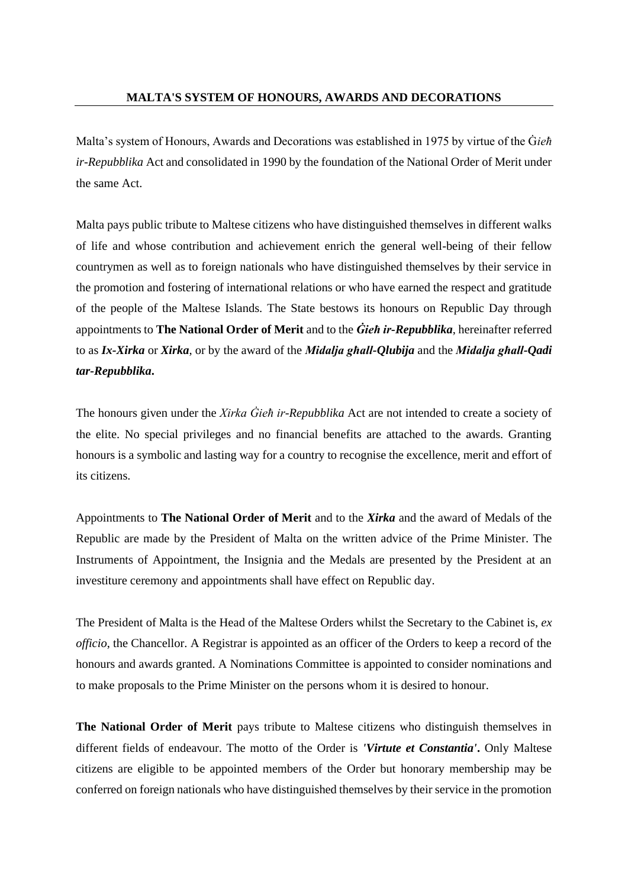Malta's system of Honours, Awards and Decorations was established in 1975 by virtue of the Ġ*ieħ ir-Repubblika* Act and consolidated in 1990 by the foundation of the National Order of Merit under the same Act.

Malta pays public tribute to Maltese citizens who have distinguished themselves in different walks of life and whose contribution and achievement enrich the general well-being of their fellow countrymen as well as to foreign nationals who have distinguished themselves by their service in the promotion and fostering of international relations or who have earned the respect and gratitude of the people of the Maltese Islands. The State bestows its honours on Republic Day through appointments to **The National Order of Merit** and to the *Ġieħ ir-Repubblika*, hereinafter referred to as *Ix-Xirka* or *Xirka*, or by the award of the *Midalja għall-Qlubija* and the *Midalja għall-Qadi tar-Repubblika***.** 

The honours given under the *Xirka Ġieħ ir-Repubblika* Act are not intended to create a society of the elite. No special privileges and no financial benefits are attached to the awards. Granting honours is a symbolic and lasting way for a country to recognise the excellence, merit and effort of its citizens.

Appointments to **The National Order of Merit** and to the *Xirka* and the award of Medals of the Republic are made by the President of Malta on the written advice of the Prime Minister. The Instruments of Appointment, the Insignia and the Medals are presented by the President at an investiture ceremony and appointments shall have effect on Republic day.

The President of Malta is the Head of the Maltese Orders whilst the Secretary to the Cabinet is, *ex officio*, the Chancellor. A Registrar is appointed as an officer of the Orders to keep a record of the honours and awards granted. A Nominations Committee is appointed to consider nominations and to make proposals to the Prime Minister on the persons whom it is desired to honour.

**The National Order of Merit** pays tribute to Maltese citizens who distinguish themselves in different fields of endeavour. The motto of the Order is *'Virtute et Constantia'***.** Only Maltese citizens are eligible to be appointed members of the Order but honorary membership may be conferred on foreign nationals who have distinguished themselves by their service in the promotion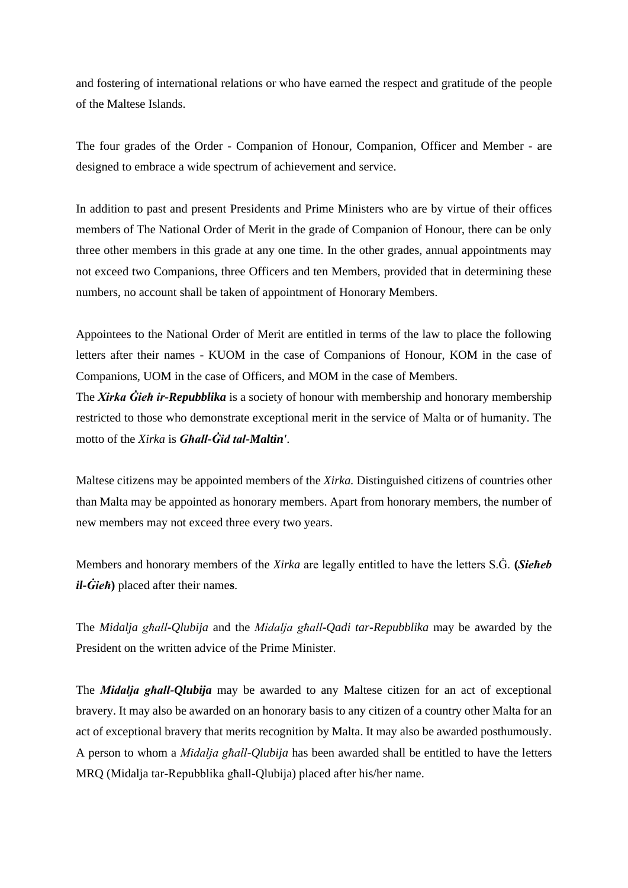and fostering of international relations or who have earned the respect and gratitude of the people of the Maltese Islands.

The four grades of the Order - Companion of Honour, Companion, Officer and Member - are designed to embrace a wide spectrum of achievement and service.

In addition to past and present Presidents and Prime Ministers who are by virtue of their offices members of The National Order of Merit in the grade of Companion of Honour, there can be only three other members in this grade at any one time. In the other grades, annual appointments may not exceed two Companions, three Officers and ten Members, provided that in determining these numbers, no account shall be taken of appointment of Honorary Members.

Appointees to the National Order of Merit are entitled in terms of the law to place the following letters after their names - KUOM in the case of Companions of Honour, KOM in the case of Companions, UOM in the case of Officers, and MOM in the case of Members.

The *Xirka Ġieħ ir-Repubblika* is a society of honour with membership and honorary membership restricted to those who demonstrate exceptional merit in the service of Malta or of humanity. The motto of the *Xirka* is *Għall-Ġid tal-Maltin'.* 

Maltese citizens may be appointed members of the *Xirka.* Distinguished citizens of countries other than Malta may be appointed as honorary members. Apart from honorary members, the number of new members may not exceed three every two years.

Members and honorary members of the *Xirka* are legally entitled to have the letters S.Ġ. **(***Sieħeb il-Ġieħ***)** placed after their name**s**.

The *Midalja għall-Qlubija* and the *Midalja għall-Qadi tar-Repubblika* may be awarded by the President on the written advice of the Prime Minister.

The *Midalja għall-Qlubija* may be awarded to any Maltese citizen for an act of exceptional bravery. It may also be awarded on an honorary basis to any citizen of a country other Malta for an act of exceptional bravery that merits recognition by Malta. It may also be awarded posthumously. A person to whom a *Midalja għall-Qlubija* has been awarded shall be entitled to have the letters MRQ (Midalja tar-Repubblika għall-Qlubija) placed after his/her name.